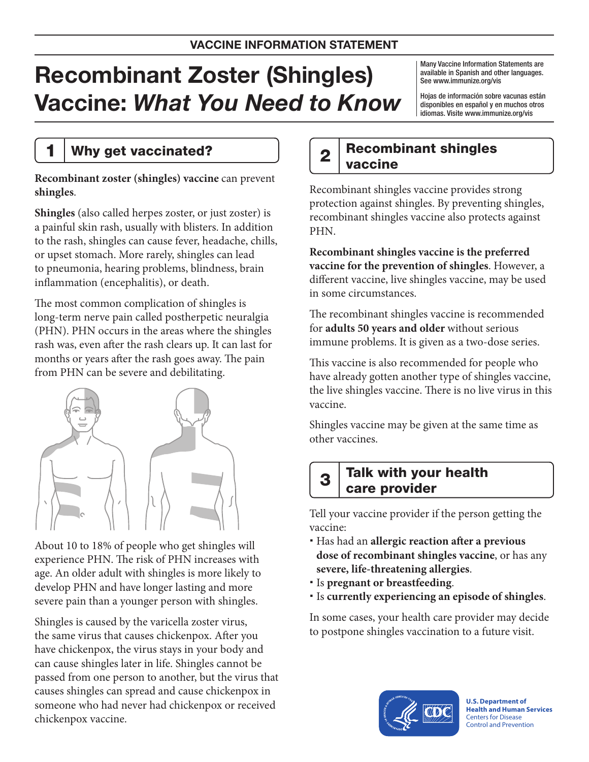# Recombinant Zoster (Shingles) Vaccine: *What You Need to Know*

Many Vaccine Information Statements are available in Spanish and other languages. See [www.immunize.org/vis](http://www.immunize.org/vis)

Hojas de información sobre vacunas están disponibles en español y en muchos otros idiomas. Visite [www.immunize.org/vis](http://www.immunize.org/vis)

### 1 | Why get vaccinated?

**Recombinant zoster (shingles) vaccine** can prevent **shingles**.

**Shingles** (also called herpes zoster, or just zoster) is a painful skin rash, usually with blisters. In addition to the rash, shingles can cause fever, headache, chills, or upset stomach. More rarely, shingles can lead to pneumonia, hearing problems, blindness, brain inflammation (encephalitis), or death.

The most common complication of shingles is long-term nerve pain called postherpetic neuralgia (PHN). PHN occurs in the areas where the shingles rash was, even after the rash clears up. It can last for months or years after the rash goes away. The pain from PHN can be severe and debilitating.



About 10 to 18% of people who get shingles will experience PHN. The risk of PHN increases with age. An older adult with shingles is more likely to develop PHN and have longer lasting and more severe pain than a younger person with shingles.

Shingles is caused by the varicella zoster virus, the same virus that causes chickenpox. After you have chickenpox, the virus stays in your body and can cause shingles later in life. Shingles cannot be passed from one person to another, but the virus that causes shingles can spread and cause chickenpox in someone who had never had chickenpox or received chickenpox vaccine.

### $2<sup>|</sup>$  Recombinant shingles vaccine

Recombinant shingles vaccine provides strong protection against shingles. By preventing shingles, recombinant shingles vaccine also protects against PHN.

**Recombinant shingles vaccine is the preferred vaccine for the prevention of shingles**. However, a different vaccine, live shingles vaccine, may be used in some circumstances.

The recombinant shingles vaccine is recommended for **adults 50 years and older** without serious immune problems. It is given as a two-dose series.

This vaccine is also recommended for people who have already gotten another type of shingles vaccine, the live shingles vaccine. There is no live virus in this vaccine.

Shingles vaccine may be given at the same time as other vaccines.

### $\boldsymbol{3} \mid$  Talk with your health care provider

Tell your vaccine provider if the person getting the vaccine:

- Has had an **allergic reaction after a previous dose of recombinant shingles vaccine**, or has any **severe, life-threatening allergies**.
- Is **pregnant or breastfeeding**.
- Is **currently experiencing an episode of shingles**.

In some cases, your health care provider may decide to postpone shingles vaccination to a future visit.



**U.S. Department of Health and Human Services**  Centers for Disease Control and Prevention